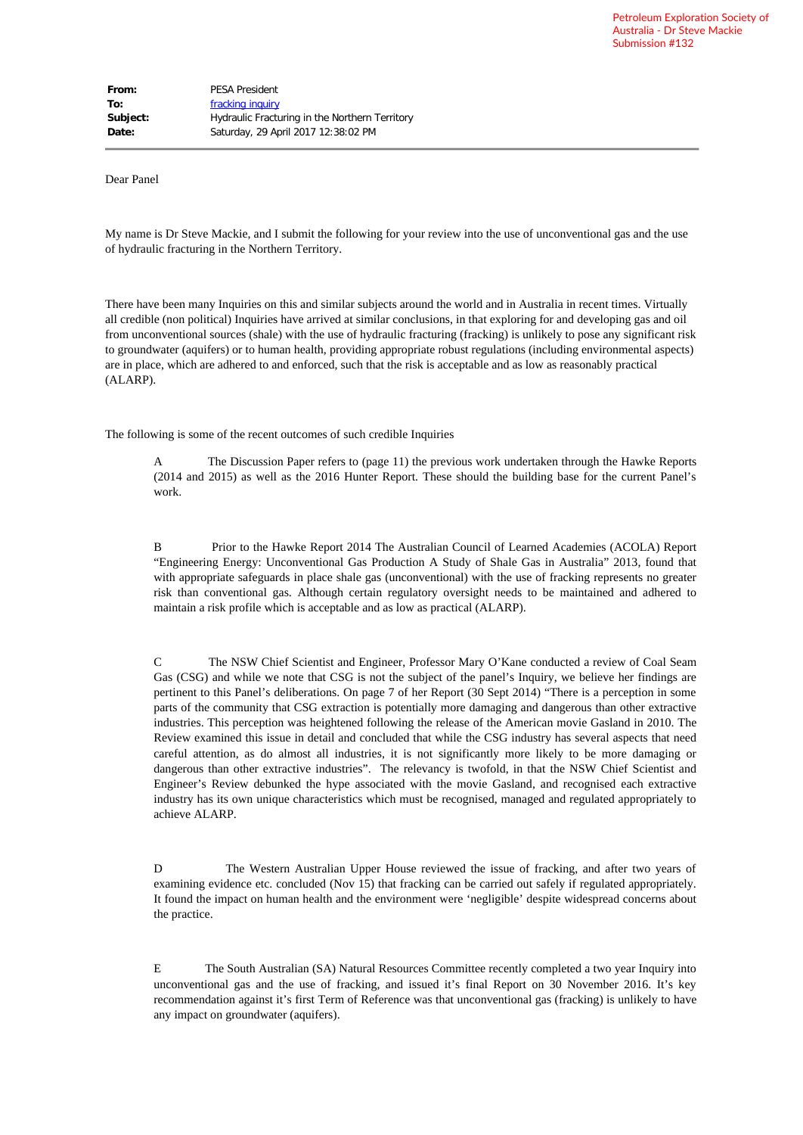Dear Panel

My name is Dr Steve Mackie, and I submit the following for your review into the use of unconventional gas and the use of hydraulic fracturing in the Northern Territory.

There have been many Inquiries on this and similar subjects around the world and in Australia in recent times. Virtually all credible (non political) Inquiries have arrived at similar conclusions, in that exploring for and developing gas and oil from unconventional sources (shale) with the use of hydraulic fracturing (fracking) is unlikely to pose any significant risk to groundwater (aquifers) or to human health, providing appropriate robust regulations (including environmental aspects) are in place, which are adhered to and enforced, such that the risk is acceptable and as low as reasonably practical (ALARP).

The following is some of the recent outcomes of such credible Inquiries

A The Discussion Paper refers to (page 11) the previous work undertaken through the Hawke Reports (2014 and 2015) as well as the 2016 Hunter Report. These should the building base for the current Panel's work.

B Prior to the Hawke Report 2014 The Australian Council of Learned Academies (ACOLA) Report "Engineering Energy: Unconventional Gas Production A Study of Shale Gas in Australia" 2013, found that with appropriate safeguards in place shale gas (unconventional) with the use of fracking represents no greater risk than conventional gas. Although certain regulatory oversight needs to be maintained and adhered to maintain a risk profile which is acceptable and as low as practical (ALARP).

C The NSW Chief Scientist and Engineer, Professor Mary O'Kane conducted a review of Coal Seam Gas (CSG) and while we note that CSG is not the subject of the panel's Inquiry, we believe her findings are pertinent to this Panel's deliberations. On page 7 of her Report (30 Sept 2014) "There is a perception in some parts of the community that CSG extraction is potentially more damaging and dangerous than other extractive industries. This perception was heightened following the release of the American movie Gasland in 2010. The Review examined this issue in detail and concluded that while the CSG industry has several aspects that need careful attention, as do almost all industries, it is not significantly more likely to be more damaging or dangerous than other extractive industries". The relevancy is twofold, in that the NSW Chief Scientist and Engineer's Review debunked the hype associated with the movie Gasland, and recognised each extractive industry has its own unique characteristics which must be recognised, managed and regulated appropriately to achieve ALARP.

D The Western Australian Upper House reviewed the issue of fracking, and after two years of examining evidence etc. concluded (Nov 15) that fracking can be carried out safely if regulated appropriately. It found the impact on human health and the environment were 'negligible' despite widespread concerns about the practice.

E The South Australian (SA) Natural Resources Committee recently completed a two year Inquiry into unconventional gas and the use of fracking, and issued it's final Report on 30 November 2016. It's key recommendation against it's first Term of Reference was that unconventional gas (fracking) is unlikely to have any impact on groundwater (aquifers).